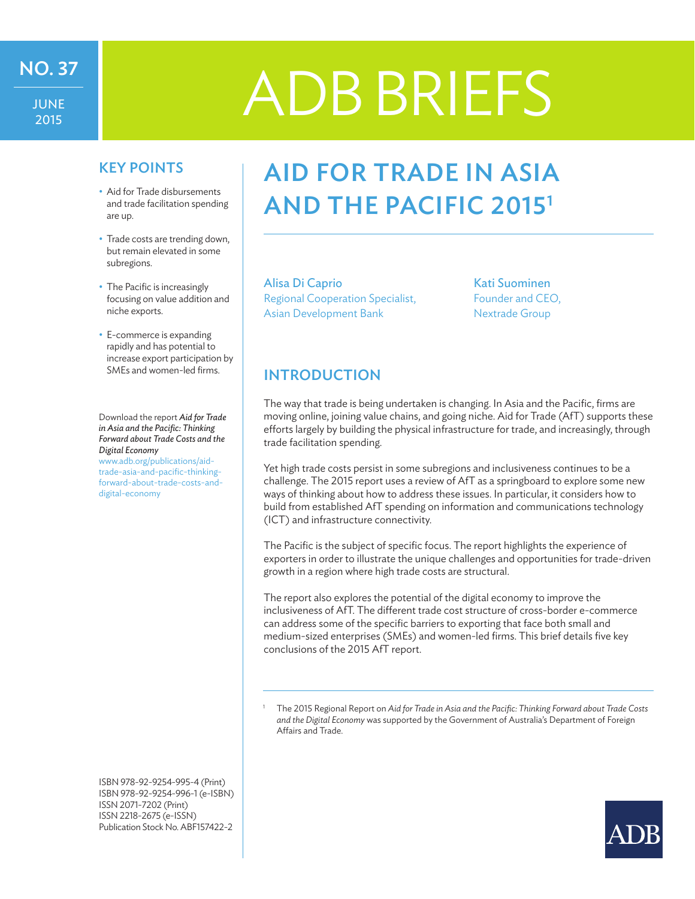JUNE 2015

# NO.37 ADB BRIEFS

- Aid for Trade disbursements and trade facilitation spending are up.
- Trade costs are trending down, but remain elevated in some subregions.
- The Pacific is increasingly focusing on value addition and niche exports.
- E-commerce is expanding rapidly and has potential to increase export participation by SMEs and women-led firms.

Download the report *Aid for Trade in Asia and the Pacific: Thinking Forward about Trade Costs and the Digital Economy* www.adb.org/publications/aidtrade-asia-and-pacific-thinkingforward-about-trade-costs-anddigital-economy

ISBN 978-92-9254-995-4 (Print) ISBN 978-92-9254-996-1 (e-ISBN) ISSN 2071-7202 (Print) ISSN 2218-2675 (e-ISSN) Publication Stock No. ABF157422-2

## KEY POINTS | AID FOR TRADE IN ASIA and the Pacific 20151

Alisa Di Caprio Regional Cooperation Specialist, Asian Development Bank

Kati Suominen Founder and CEO, Nextrade Group

## INTRODUCTION

The way that trade is being undertaken is changing. In Asia and the Pacific, firms are moving online, joining value chains, and going niche. Aid for Trade (AfT) supports these efforts largely by building the physical infrastructure for trade, and increasingly, through trade facilitation spending.

Yet high trade costs persist in some subregions and inclusiveness continues to be a challenge. The 2015 report uses a review of AfT as a springboard to explore some new ways of thinking about how to address these issues. In particular, it considers how to build from established AfT spending on information and communications technology (ICT) and infrastructure connectivity.

The Pacific is the subject of specific focus. The report highlights the experience of exporters in order to illustrate the unique challenges and opportunities for trade-driven growth in a region where high trade costs are structural.

The report also explores the potential of the digital economy to improve the inclusiveness of AfT. The different trade cost structure of cross-border e-commerce can address some of the specific barriers to exporting that face both small and medium-sized enterprises (SMEs) and women-led firms. This brief details five key conclusions of the 2015 AfT report.

<sup>1</sup> The 2015 Regional Report on *Aid for Trade in Asia and the Pacific: Thinking Forward about Trade Costs and the Digital Economy* was supported by the Government of Australia's Department of Foreign Affairs and Trade.

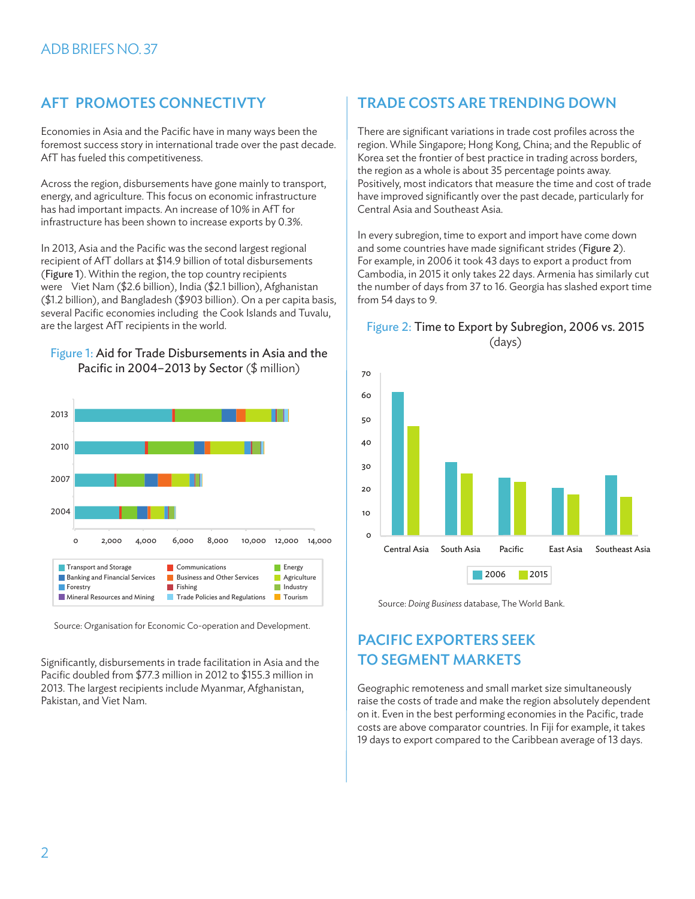Economies in Asia and the Pacific have in many ways been the foremost success story in international trade over the past decade. AfT has fueled this competitiveness.

Across the region, disbursements have gone mainly to transport, energy, and agriculture. This focus on economic infrastructure has had important impacts. An increase of 10% in AfT for infrastructure has been shown to increase exports by 0.3%.

In 2013, Asia and the Pacific was the second largest regional recipient of AfT dollars at \$14.9 billion of total disbursements (Figure 1). Within the region, the top country recipients were Viet Nam (\$2.6 billion), India (\$2.1 billion), Afghanistan (\$1.2 billion), and Bangladesh (\$903 billion). On a per capita basis, several Pacific economies including the Cook Islands and Tuvalu, are the largest AfT recipients in the world.

#### Figure 1: Aid for Trade Disbursements in Asia and the Pacific in 2004–2013 by Sector (\$ million)



Source: Organisation for Economic Co-operation and Development.

Significantly, disbursements in trade facilitation in Asia and the Pacific doubled from \$77.3 million in 2012 to \$155.3 million in 2013. The largest recipients include Myanmar, Afghanistan, Pakistan, and Viet Nam.

## AFT PROMOTES CONNECTIVTY TRADE COSTS ARE TRENDING DOWN

There are significant variations in trade cost profiles across the region. While Singapore; Hong Kong, China; and the Republic of Korea set the frontier of best practice in trading across borders, the region as a whole is about 35 percentage points away. Positively, most indicators that measure the time and cost of trade have improved significantly over the past decade, particularly for Central Asia and Southeast Asia.

In every subregion, time to export and import have come down and some countries have made significant strides (Figure 2). For example, in 2006 it took 43 days to export a product from Cambodia, in 2015 it only takes 22 days. Armenia has similarly cut the number of days from 37 to 16. Georgia has slashed export time from 54 days to 9.

#### Figure 2: Time to Export by Subregion, 2006 vs. 2015 (days)



Source: *Doing Business* database, The World Bank.

## PACIFIC EXPORTERS SEEK TO SEGMENT MARKETS

Geographic remoteness and small market size simultaneously raise the costs of trade and make the region absolutely dependent on it. Even in the best performing economies in the Pacific, trade costs are above comparator countries. In Fiji for example, it takes 19 days to export compared to the Caribbean average of 13 days.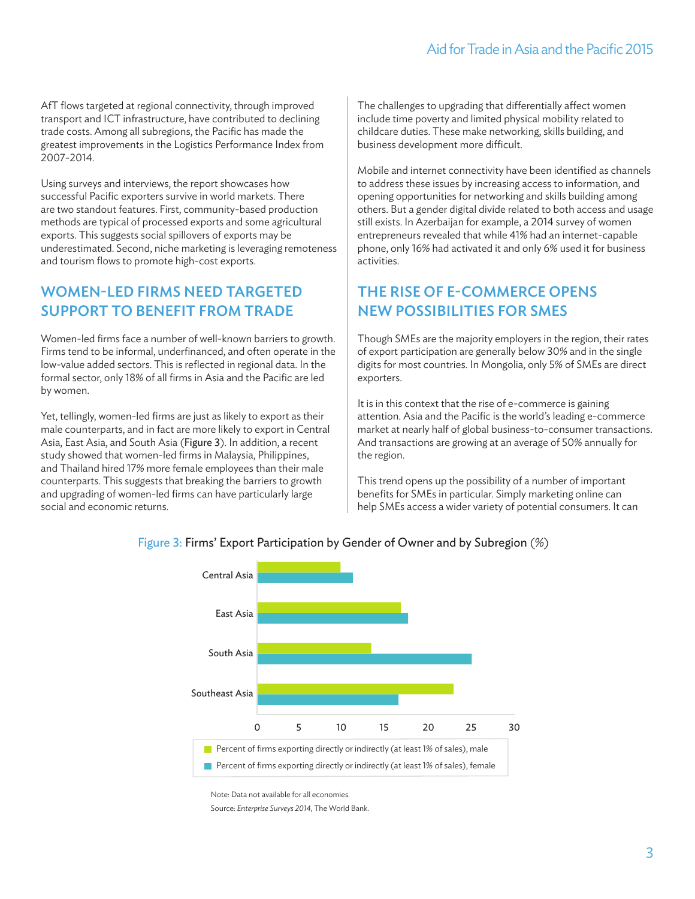AfT flows targeted at regional connectivity, through improved transport and ICT infrastructure, have contributed to declining trade costs. Among all subregions, the Pacific has made the greatest improvements in the Logistics Performance Index from 2007-2014.

Using surveys and interviews, the report showcases how successful Pacific exporters survive in world markets. There are two standout features. First, community-based production methods are typical of processed exports and some agricultural exports. This suggests social spillovers of exports may be underestimated. Second, niche marketing is leveraging remoteness and tourism flows to promote high-cost exports.

#### Women-led firms need targeted support to benefit from trade

Women-led firms face a number of well-known barriers to growth. Firms tend to be informal, underfinanced, and often operate in the low-value added sectors. This is reflected in regional data. In the formal sector, only 18% of all firms in Asia and the Pacific are led by women.

Yet, tellingly, women-led firms are just as likely to export as their male counterparts, and in fact are more likely to export in Central Asia, East Asia, and South Asia (Figure 3). In addition, a recent study showed that women-led firms in Malaysia, Philippines, and Thailand hired 17% more female employees than their male counterparts. This suggests that breaking the barriers to growth and upgrading of women-led firms can have particularly large social and economic returns.

The challenges to upgrading that differentially affect women include time poverty and limited physical mobility related to childcare duties. These make networking, skills building, and business development more difficult.

Mobile and internet connectivity have been identified as channels to address these issues by increasing access to information, and opening opportunities for networking and skills building among others. But a gender digital divide related to both access and usage still exists. In Azerbaijan for example, a 2014 survey of women entrepreneurs revealed that while 41% had an internet-capable phone, only 16% had activated it and only 6% used it for business activities.

#### The rise of e-commerce opens new possibilities for SMEs

Though SMEs are the majority employers in the region, their rates of export participation are generally below 30% and in the single digits for most countries. In Mongolia, only 5% of SMEs are direct exporters.

It is in this context that the rise of e-commerce is gaining attention. Asia and the Pacific is the world's leading e-commerce market at nearly half of global business-to-consumer transactions. And transactions are growing at an average of 50% annually for the region.

This trend opens up the possibility of a number of important benefits for SMEs in particular. Simply marketing online can help SMEs access a wider variety of potential consumers. It can



#### Figure 3: Firms' Export Participation by Gender of Owner and by Subregion (%)

Note: Data not available for all economies.

Source: *Enterprise Surveys 2014*, The World Bank.